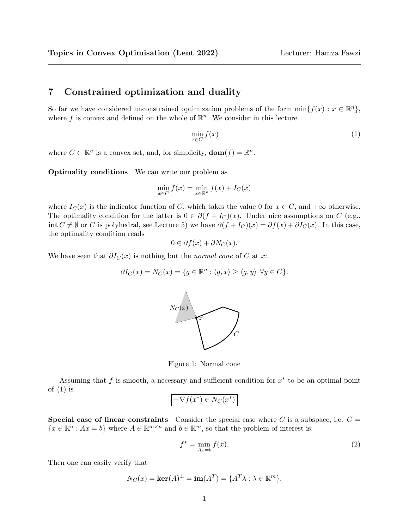## 7 Constrained optimization and duality

So far we have considered unconstrained optimization problems of the form  $\min\{f(x) : x \in \mathbb{R}^n\}$ , where f is convex and defined on the whole of  $\mathbb{R}^n$ . We consider in this lecture

<span id="page-0-0"></span>
$$
\min_{x \in C} f(x) \tag{1}
$$

where  $C \subset \mathbb{R}^n$  is a convex set, and, for simplicity,  $\textbf{dom}(f) = \mathbb{R}^n$ .

Optimality conditions We can write our problem as

$$
\min_{x \in C} f(x) = \min_{x \in \mathbb{R}^n} f(x) + I_C(x)
$$

where  $I_C(x)$  is the indicator function of C, which takes the value 0 for  $x \in C$ , and  $+\infty$  otherwise. The optimality condition for the latter is  $0 \in \partial (f + I_C)(x)$ . Under nice assumptions on C (e.g., int  $C \neq \emptyset$  or C is polyhedral, see Lecture 5) we have  $\partial (f + I_C)(x) = \partial f(x) + \partial I_C(x)$ . In this case, the optimality condition reads

$$
0 \in \partial f(x) + \partial N_C(x).
$$

We have seen that  $\partial I_C(x)$  is nothing but the *normal cone* of C at x:

$$
\partial I_C(x) = N_C(x) = \{ g \in \mathbb{R}^n : \langle g, x \rangle \ge \langle g, y \rangle \ \forall y \in C \}.
$$



Figure 1: Normal cone

Assuming that  $f$  is smooth, a necessary and sufficient condition for  $x^*$  to be an optimal point of  $(1)$  is

$$
-\nabla f(x^*) \in N_C(x^*)
$$

**Special case of linear constraints** Consider the special case where C is a subspace, i.e.  $C =$  ${x \in \mathbb{R}^n : Ax = b}$  where  $A \in \mathbb{R}^{m \times n}$  and  $b \in \mathbb{R}^m$ , so that the problem of interest is:

<span id="page-0-1"></span>
$$
f^* = \min_{Ax=b} f(x). \tag{2}
$$

Then one can easily verify that

$$
N_C(x) = \ker(A)^{\perp} = \text{im}(A^T) = \{A^T \lambda : \lambda \in \mathbb{R}^m\}.
$$